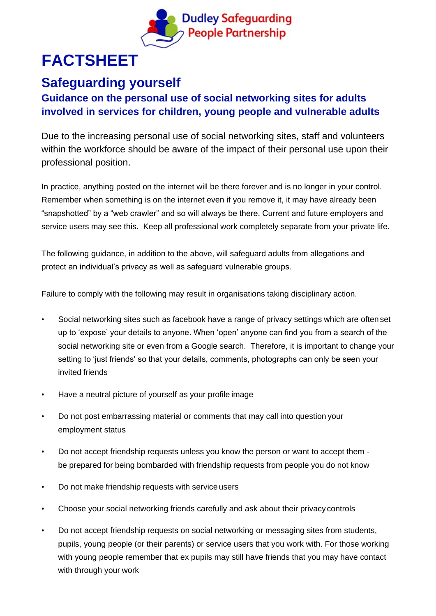

## **FACTSHEET**

## **Safeguarding yourself**

## **Guidance on the personal use of social networking sites for adults involved in services for children, young people and vulnerable adults**

Due to the increasing personal use of social networking sites, staff and volunteers within the workforce should be aware of the impact of their personal use upon their professional position.

In practice, anything posted on the internet will be there forever and is no longer in your control. Remember when something is on the internet even if you remove it, it may have already been "snapshotted" by a "web crawler" and so will always be there. Current and future employers and service users may see this. Keep all professional work completely separate from your private life.

The following guidance, in addition to the above, will safeguard adults from allegations and protect an individual's privacy as well as safeguard vulnerable groups.

Failure to comply with the following may result in organisations taking disciplinary action.

- Social networking sites such as facebook have a range of privacy settings which are often set up to 'expose' your details to anyone. When 'open' anyone can find you from a search of the social networking site or even from a Google search. Therefore, it is important to change your setting to 'just friends' so that your details, comments, photographs can only be seen your invited friends
- Have a neutral picture of yourself as your profile image
- Do not post embarrassing material or comments that may call into question your employment status
- Do not accept friendship requests unless you know the person or want to accept them be prepared for being bombarded with friendship requests from people you do not know
- Do not make friendship requests with service users
- Choose your social networking friends carefully and ask about their privacy controls
- Do not accept friendship requests on social networking or messaging sites from students, pupils, young people (or their parents) or service users that you work with. For those working with young people remember that ex pupils may still have friends that you may have contact with through your work